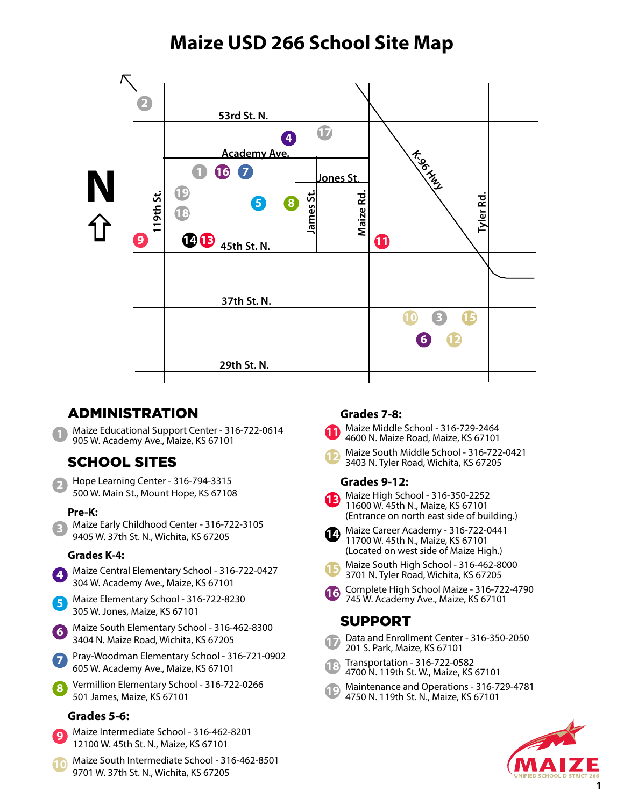# **Maize USD 266 School Site Map**



## ADMINISTRATION

Maize Educational Support Center - 316-722-0614 905 W. Academy Ave., Maize, KS 67101

# SCHOOL SITES

Hope Learning Center - 316-794-3315 500 W. Main St., Mount Hope, KS 67108 **2**

### **Pre-K:**

Maize Early Childhood Center - 316-722-3105 9405 W. 37th St. N., Wichita, KS 67205 **3**

### **Grades K-4:**

- Maize Central Elementary School 316-722-0427 304 W. Academy Ave., Maize, KS 67101 **4**
- Maize Elementary School 316-722-8230 305 W. Jones, Maize, KS 67101 **5**
- Maize South Elementary School 316-462-8300 3404 N. Maize Road, Wichita, KS 67205 **6**

Pray-Woodman Elementary School - 316-721-0902 605 W. Academy Ave., Maize, KS 67101 **7**

Vermillion Elementary School - 316-722-0266 501 James, Maize, KS 67101 **8**

## **Grades 5-6:**

- Maize Intermediate School 316-462-8201 12100 W. 45th St. N., Maize, KS 67101 **9**
- Maize South Intermediate School 316-462-8501 9701 W. 37th St. N., Wichita, KS 67205 **10**

## **Grades 7-8:**

- Maize Middle School 316-729-2464 4600 N. Maize Road, Maize, KS 67101 **11**
- Maize South Middle School 316-722-0421 3403 N. Tyler Road, Wichita, KS 67205 **12**

### **Grades 9-12:**



- Maize High School 316-350-2252 11600 W. 45th N., Maize, KS 67101 (Entrance on north east side of building.)
- **14** Maize Career Academy 316-722-0441 11700 W. 45th N., Maize, KS 67101
	- (Located on west side of Maize High.) Maize South High School - 316-462-8000
- 3701 N. Tyler Road, Wichita, KS 67205 **15**
- **16** Complete High School Maize 316-722-4790 745 W. Academy Ave., Maize, KS 67101

## SUPPORT

- Data and Enrollment Center 316-350-2050 201 S. Park, Maize, KS 67101 **17**
- Transportation 316-722-0582 4700 N. 119th St. W., Maize, KS 67101 **18**
- Maintenance and Operations 316-729-4781 4750 N. 119th St. N., Maize, KS 67101 **19**